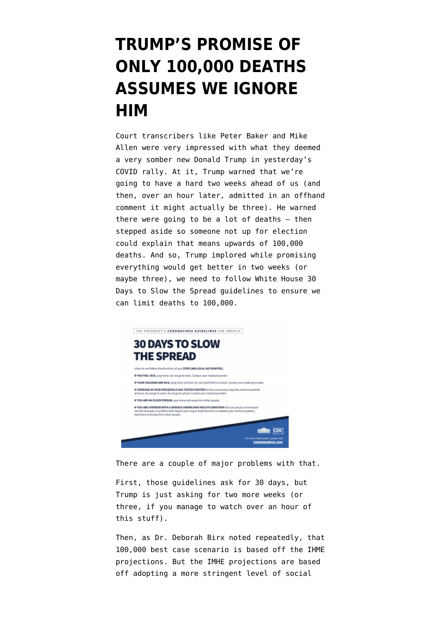## **[TRUMP'S PROMISE OF](https://www.emptywheel.net/2020/04/01/trumps-promise-of-only-100000-deaths-assumes-we-ignore-him/) [ONLY 100,000 DEATHS](https://www.emptywheel.net/2020/04/01/trumps-promise-of-only-100000-deaths-assumes-we-ignore-him/) [ASSUMES WE IGNORE](https://www.emptywheel.net/2020/04/01/trumps-promise-of-only-100000-deaths-assumes-we-ignore-him/) [HIM](https://www.emptywheel.net/2020/04/01/trumps-promise-of-only-100000-deaths-assumes-we-ignore-him/)**

Court transcribers like [Peter Baker](https://www.nytimes.com/2020/04/01/us/politics/coronavirus-trump.html) and [Mike](https://www.axios.com/trump-coronavirus-dark-outlook-5dfb268b-71de-4b2e-be91-81253e283842.html) [Allen](https://www.axios.com/trump-coronavirus-dark-outlook-5dfb268b-71de-4b2e-be91-81253e283842.html) were very impressed with what they deemed a very somber new Donald Trump in [yesterday's](https://www.c-span.org/video/?470841-1/white-house-warns-upcoming-painful-weeks) [COVID rally](https://www.c-span.org/video/?470841-1/white-house-warns-upcoming-painful-weeks). At it, Trump warned that we're going to have a hard two weeks ahead of us (and then, over an hour later, [admitted](https://www.c-span.org/video/?c4865326/user-clip-weeks&editTime=1585754251) in an offhand comment it might actually be three). He warned there were going to be a lot of deaths  $-$  then stepped aside so someone not up for election could explain that means upwards of 100,000 deaths. And so, Trump implored while promising everything would get better in two weeks (or maybe three), we need to follow White House [30](https://www.whitehouse.gov/wp-content/uploads/2020/03/03.16.20_coronavirus-guidance_8.5x11_315PM.pdf) [Days to Slow the Spread guidelines](https://www.whitehouse.gov/wp-content/uploads/2020/03/03.16.20_coronavirus-guidance_8.5x11_315PM.pdf) to ensure we can limit deaths to 100,000.

**30 DAYS TO SLOW THE SPREAD** Listen to and follow the directions of your STATE AND LOCAL AUTHORITIES. IF YOU FEEL SICK, stay home. Do not go to work. Contact your medical provider IF YOUR CHILDREN ARE SECK, keep them of home. Do not send them to school. Contact your medical provider IF SOMEONE IN YOUR HOUSENOLD HAS TESTED POSITIVE for the conceaving, keep the entire household at here. On not ge to work, the not go to school. Contact your medical provides. IF YOU ARE AN OLDER PERSON, stop home and away from other people. IF YOU ARE A PERSON WITH A SERIOUS UNDERLYING HEALTH CONDITION that can put you at increase that can put you at increase that impairing your lines and the requirement of the property and the property of the state of the st **HIRH CDC CORONAMIRUS.GOV** 

THE PRESIDENT'S CORONAVIRUS GUIDELINES FOR AMERICA

There are a couple of major problems with that.

First, those guidelines ask for 30 days, but Trump is just asking for two more weeks (or three, if you manage to watch over an hour of this stuff).

Then, as Dr. Deborah Birx noted repeatedly, that 100,000 best case scenario is based off [the IHME](https://covid19.healthdata.org/) [projections](https://covid19.healthdata.org/). But the IMHE projections are [based](http://www.healthdata.org/covid/faqs) [off adopting a more stringent level](http://www.healthdata.org/covid/faqs) of social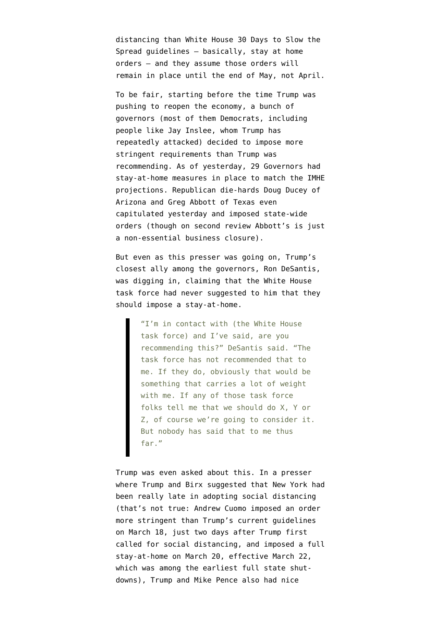distancing than White House 30 Days to Slow the Spread guidelines — [basically, stay at home](https://covid19.govt.nz/assets/COVID_Alert-levels_v2.pdf) [orders](https://covid19.govt.nz/assets/COVID_Alert-levels_v2.pdf) — and they assume those orders will remain in place until the end of May, not April.

To be fair, starting before the time Trump was pushing to reopen the economy, [a bunch of](https://www.emptywheel.net/2020/03/27/trump-cant-turn-the-economy-back-on-without-overriding-executive-orders-of-23-governors/) [governors](https://www.emptywheel.net/2020/03/27/trump-cant-turn-the-economy-back-on-without-overriding-executive-orders-of-23-governors/) (most of them Democrats, including people like Jay Inslee, whom Trump has repeatedly attacked) decided to impose more stringent requirements than Trump was recommending. As of yesterday, 29 Governors had stay-at-home measures in place to match the IMHE projections. Republican die-hards Doug Ducey of Arizona and Greg Abbott of Texas even capitulated yesterday and imposed state-wide orders (though on second review Abbott's is just a non-essential business closure).

But even as this presser was going on, Trump's closest ally among the governors, Ron DeSantis, was [digging in](https://www.tampabay.com/news/health/2020/03/31/ron-desantis-continues-to-resist-a-florida-shutdown/), claiming that the White House task force had never suggested to him that they should impose a stay-at-home.

> "I'm in contact with (the White House task force) and I've said, are you recommending this?" DeSantis said. "The task force has not recommended that to me. If they do, obviously that would be something that carries a lot of weight with me. If any of those task force folks tell me that we should do X, Y or Z, of course we're going to consider it. But nobody has said that to me thus far."

Trump was even asked about this. In a presser where Trump and Birx suggested that New York had been really late in adopting social distancing (that's not true: Andrew Cuomo [imposed an order](https://www.governor.ny.gov/news/no-2025-continuing-temporary-suspension-and-modification-laws-relating-disaster-emergency) more stringent than Trump's current guidelines on March 18, just two days after Trump first called for social distancing, and imposed [a full](https://www.governor.ny.gov/news/no-2028-continuing-temporary-suspension-and-modification-laws-relating-disaster-emergency) [stay-at-home on March 20,](https://www.governor.ny.gov/news/no-2028-continuing-temporary-suspension-and-modification-laws-relating-disaster-emergency) effective March 22, which was among the earliest full state shutdowns), Trump and [Mike Pence](https://www.c-span.org/video/?c4865321/user-clip-pence-defends-desantis) also had nice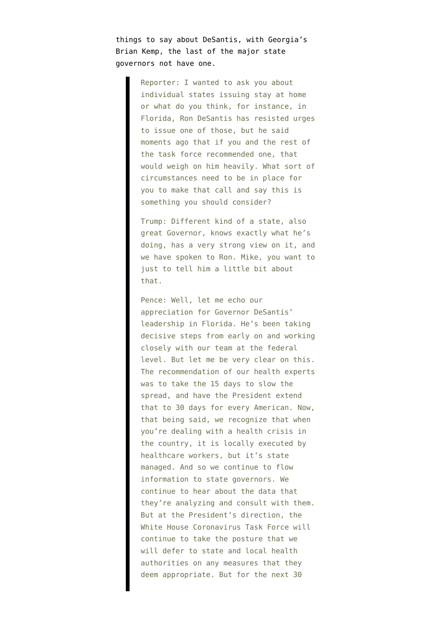things to say about DeSantis, with Georgia's Brian Kemp, the last of the major state governors not have one.

> Reporter: I wanted to ask you about individual states issuing stay at home or what do you think, for instance, in Florida, Ron DeSantis has resisted urges to issue one of those, but he said moments ago that if you and the rest of the task force recommended one, that would weigh on him heavily. What sort of circumstances need to be in place for you to make that call and say this is something you should consider?

> Trump: Different kind of a state, also great Governor, knows exactly what he's doing, has a very strong view on it, and we have spoken to Ron. Mike, you want to just to tell him a little bit about that.

> Pence: Well, let me echo our appreciation for Governor DeSantis' leadership in Florida. He's been taking decisive steps from early on and working closely with our team at the federal level. But let me be very clear on this. The recommendation of our health experts was to take the 15 days to slow the spread, and have the President extend that to 30 days for every American. Now, that being said, we recognize that when you're dealing with a health crisis in the country, it is locally executed by healthcare workers, but it's state managed. And so we continue to flow information to state governors. We continue to hear about the data that they're analyzing and consult with them. But at the President's direction, the White House Coronavirus Task Force will continue to take the posture that we will defer to state and local health authorities on any measures that they deem appropriate. But for the next 30